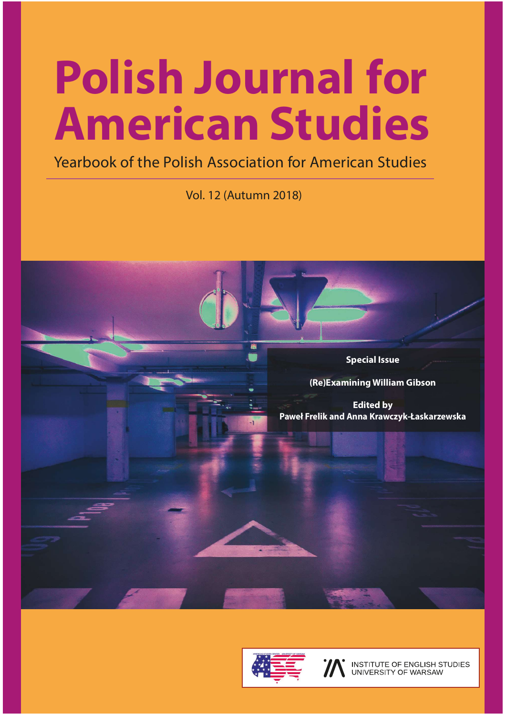## Polish Journal for American Studies

Yearbook of the Polish Association for American Studies

Vol. 12 (Autumn 2018)





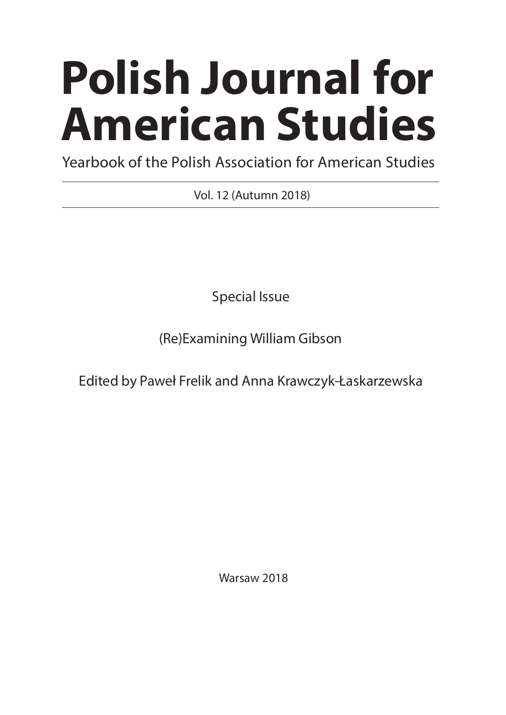# Polish Journal for American Studies

Yearbook of the Polish Association for American Studies

Vol. 12 (Autumn 2018)

Special Issue

(Re)Examining William Gibson

Edited by Paweł Frelik and Anna Krawczyk-Łaskarzewska

Warsaw 2018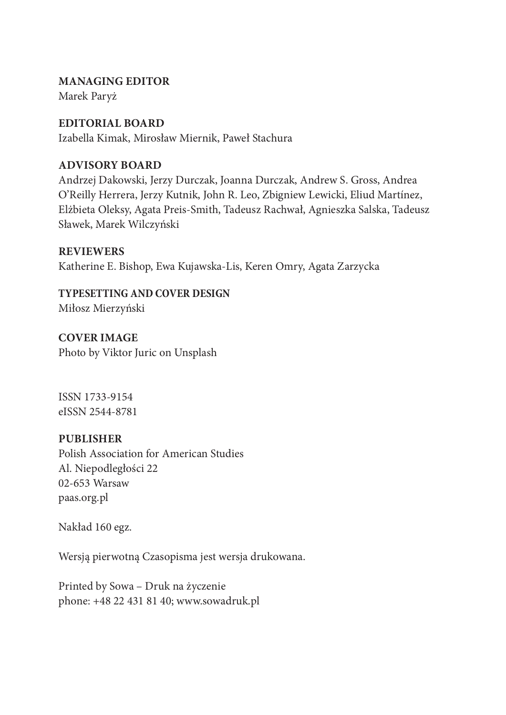#### MANAGING EDITOR

Marek Paryż

#### EDITORIAL BOARD

Izabella Kimak, Mirosław Miernik, Paweł Stachura

#### ADVISORY BOARD

Andrzej Dakowski, Jerzy Durczak, Joanna Durczak, Andrew S. Gross, Andrea O'Reilly Herrera, Jerzy Kutnik, John R. Leo, Zbigniew Lewicki, Eliud Martínez, Elżbieta Oleksy, Agata Preis-Smith, Tadeusz Rachwał, Agnieszka Salska, Tadeusz Sławek, Marek Wilczyński

#### **REVIEWERS**

Katherine E. Bishop, Ewa Kujawska-Lis, Keren Omry, Agata Zarzycka

#### TYPESETTING AND COVER DESIGN

Miłosz Mierzyński

COVER IMAGE Photo by Viktor Juric on Unsplash

ISSN 1733-9154 eISSN 2544-8781

#### PUBLISHER

Polish Association for American Studies Al. Niepodległości 22 02-653 Warsaw paas.org.pl

Nakład 160 egz.

Wersją pierwotną Czasopisma jest wersja drukowana.

Printed by Sowa – Druk na życzenie phone: +48 22 431 81 40; www.sowadruk.pl